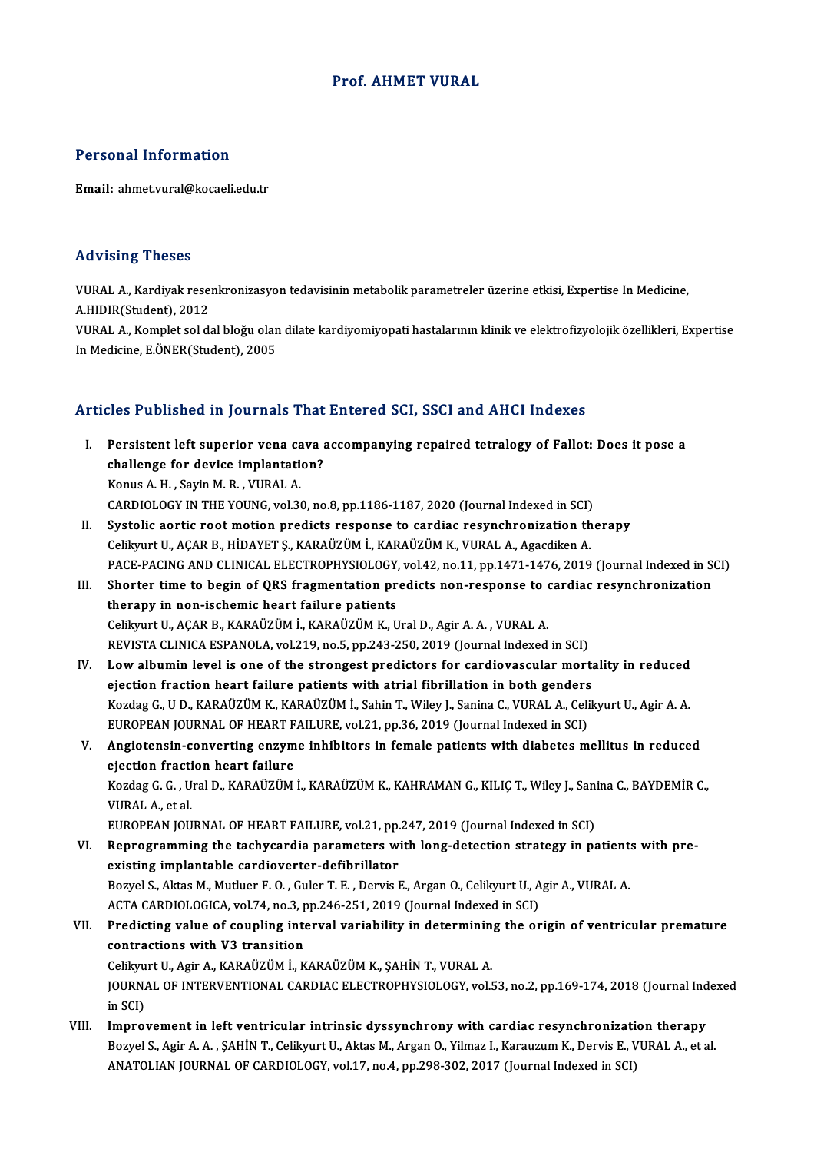#### Prof. AHMET VURAL

#### Personal Information

Email: ahmet.vural@kocaeli.edu.tr

#### Advising Theses

Advising Theses<br>VURAL A., Kardiyak resenkronizasyon tedavisinin metabolik parametreler üzerine etkisi, Expertise In Medicine,<br>A HIDIP(Student), 2012 A.H. A., Kardiyak rese:<br>A.HIDIR(Student), 2012<br>VIIBAL A., Komplet sel di

A.HIDIR(Student), 2012<br>VURAL A., Komplet sol dal bloğu olan dilate kardiyomiyopati hastalarının klinik ve elektrofizyolojik özellikleri, Expertise In Medicine, E.ÖNER(Student), 2005

#### Articles Published in Journals That Entered SCI, SSCI and AHCI Indexes

- rticles Published in Journals That Entered SCI, SSCI and AHCI Indexes<br>I. Persistent left superior vena cava accompanying repaired tetralogy of Fallot: Does it pose a<br>challange for device implemation? Persistent left superior vena cava<br>challenge for device implantation?<br>Enve A H. Sovin M. B. VUDALA challenge for device implantation?<br>Konus A. H., Sayin M. R., VURAL A. challenge for device implantation?<br>Konus A. H. , Sayin M. R. , VURAL A.<br>CARDIOLOGY IN THE YOUNG, vol.30, no.8, pp.1186-1187, 2020 (Journal Indexed in SCI)<br>Systelie eestie nost motion nuediste response to sendise resunshuon
- II. Systolic aortic root motion predicts response to cardiac resynchronization therapy<br>Celikyurt U., ACAR B., HIDAYET S., KARAÜZÜM İ., KARAÜZÜM K., VURAL A., Agacdiken A. CARDIOLOGY IN THE YOUNG, vol.30, no.8, pp.1186-1187, 2020 (Journal Indexed in SCI)<br>Systolic aortic root motion predicts response to cardiac resynchronization th<br>Celikyurt U., AÇAR B., HİDAYET Ş., KARAÜZÜM İ., KARAÜZÜM K., Systolic aortic root motion predicts response to cardiac resynchronization therapy<br>Celikyurt U., AÇAR B., HİDAYET Ş., KARAÜZÜM İ., KARAÜZÜM K., VURAL A., Agacdiken A.<br>PACE-PACING AND CLINICAL ELECTROPHYSIOLOGY, vol.42, no. Celikyurt U., AÇAR B., HİDAYET Ş., KARAÜZÜM İ., KARAÜZÜM K., VURAL A., Agacdiken A.<br>PACE-PACING AND CLINICAL ELECTROPHYSIOLOGY, vol.42, no.11, pp.1471-1476, 2019 (Journal Indexed in St<br>III. Shorter time to begin of QRS fra
- PACE-PACING AND CLINICAL ELECTROPHYSIOLOGY,<br>Shorter time to begin of QRS fragmentation pr<br>therapy in non-ischemic heart failure patients<br>Collinust II, ACAP P, KAPAÜZÜM L, KAPAÜZÜM K, U Shorter time to begin of QRS fragmentation predicts non-response to differency in non-ischemic heart failure patients<br>Celikyurt U., AÇAR B., KARAÜZÜM İ., KARAÜZÜM K., Ural D., Agir A. A. , VURAL A.<br>PEVISTA CLINICA ESPANOLA therapy in non-ischemic heart failure patients<br>Celikyurt U., AÇAR B., KARAÜZÜM İ., KARAÜZÜM K., Ural D., Agir A. A. , VURAL A.<br>REVISTA CLINICA ESPANOLA, vol.219, no.5, pp.243-250, 2019 (Journal Indexed in SCI) Celikyurt U., AÇAR B., KARAÜZÜM İ., KARAÜZÜM K., Ural D., Agir A. A. , VURAL A.<br>REVISTA CLINICA ESPANOLA, vol.219, no.5, pp.243-250, 2019 (Journal Indexed in SCI)<br>IV. Low albumin level is one of the strongest predictors fo
- REVISTA CLINICA ESPANOLA, vol.219, no.5, pp.243-250, 2019 (Journal Indexed in SCI)<br>Low albumin level is one of the strongest predictors for cardiovascular mort;<br>ejection fraction heart failure patients with atrial fibrilla Low albumin level is one of the strongest predictors for cardiovascular mortality in reduced<br>ejection fraction heart failure patients with atrial fibrillation in both genders<br>Kozdag G., U D., KARAÜZÜM K., KARAÜZÜM İ., Sahi ejection fraction heart failure patients with atrial fibrillation in both genders<br>Kozdag G., U D., KARAÜZÜM K., KARAÜZÜM İ., Sahin T., Wiley J., Sanina C., VURAL A., Celi<br>EUROPEAN JOURNAL OF HEART FAILURE, vol.21, pp.36, 2 Kozdag G., U D., KARAÜZÜM K., KARAÜZÜM İ., Sahin T., Wiley J., Sanina C., VURAL A., Celikyurt U., Agir A. A.<br>EUROPEAN JOURNAL OF HEART FAILURE, vol.21, pp.36, 2019 (Journal Indexed in SCI)<br>V. Angiotensin-converting enzyme
- EUROPEAN JOURNAL OF HEART F<br>Angiotensin-converting enzym<br>ejection fraction heart failure Angiotensin-converting enzyme inhibitors in female patients with diabetes mellitus in reduced<br>ejection fraction heart failure<br>Kozdag G. G. , Ural D., KARAÜZÜM İ., KARAÜZÜM K., KAHRAMAN G., KILIÇ T., Wiley J., Sanina C., BA ejection fracti<br>Kozdag G. G. , U<br>VURAL A., et al.<br>EUROPEAN IOU Kozdag G. G. , Ural D., KARAÜZÜM İ., KARAÜZÜM K., KAHRAMAN G., KILIÇ T., Wiley J., Sani<br>VURAL A., et al.<br>EUROPEAN JOURNAL OF HEART FAILURE, vol.21, pp.247, 2019 (Journal Indexed in SCI)<br>Bonnogramming the techycardia porame VURAL A., et al.<br>EUROPEAN JOURNAL OF HEART FAILURE, vol.21, pp.247, 2019 (Journal Indexed in SCI)<br>VI. Reprogramming the tachycardia parameters with long-detection strategy in patients with pre-<br>evisting implemable condieva

EUROPEAN JOURNAL OF HEART FAILURE, vol.21, pp.<br>Reprogramming the tachycardia parameters wi<br>existing implantable cardioverter-defibrillator<br>Bowel S. Altas M. Mutluer E.O., Guler T. E., Dewis L Reprogramming the tachycardia parameters with long-detection strategy in patient:<br>existing implantable cardioverter-defibrillator<br>Bozyel S., Aktas M., Mutluer F. O. , Guler T. E. , Dervis E., Argan O., Celikyurt U., Agir A existing implantable cardioverter-defibrillator<br>Bozyel S., Aktas M., Mutluer F. O. , Guler T. E. , Dervis E., Argan O., Celikyurt U., A<br>ACTA CARDIOLOGICA, vol.74, no.3, pp.246-251, 2019 (Journal Indexed in SCI)<br>Predisting ACTA CARDIOLOGICA, vol.74, no.3, pp.246-251, 2019 (Journal Indexed in SCI)

## VII. Predicting value of coupling interval variability in determining the origin of ventricular premature contractions with V3 transition Predicting value of coupling interval variability in determinin<br>contractions with V3 transition<br>Celikyurt U., Agir A., KARAÜZÜM İ., KARAÜZÜM K., ŞAHİN T., VURAL A.<br>JOURNAL OF INTERVENTIONAL CARDIAC ELECTROPHYSIOLOCY .vel f JOURNAL OF INTERVENTIONAL CARDIAC ELECTROPHYSIOLOGY, vol.53, no.2, pp.169-174, 2018 (Journal Indexed<br>in SCI) Celikyu<br>JOURNA<br>in SCI)<br>Impre

VIII. Improvement in left ventricular intrinsic dyssynchrony with cardiac resynchronization therapy in SCI)<br>Improvement in left ventricular intrinsic dyssynchrony with cardiac resynchronization therapy<br>Bozyel S., Agir A. A. , ŞAHİN T., Celikyurt U., Aktas M., Argan O., Yilmaz I., Karauzum K., Dervis E., VURAL A., et al.<br> Improvement in left ventricular intrinsic dyssynchrony with cardiac resynchronizati<br>Bozyel S., Agir A. A. , ȘAHİN T., Celikyurt U., Aktas M., Argan O., Yilmaz I., Karauzum K., Dervis E., V<br>ANATOLIAN JOURNAL OF CARDIOLOGY,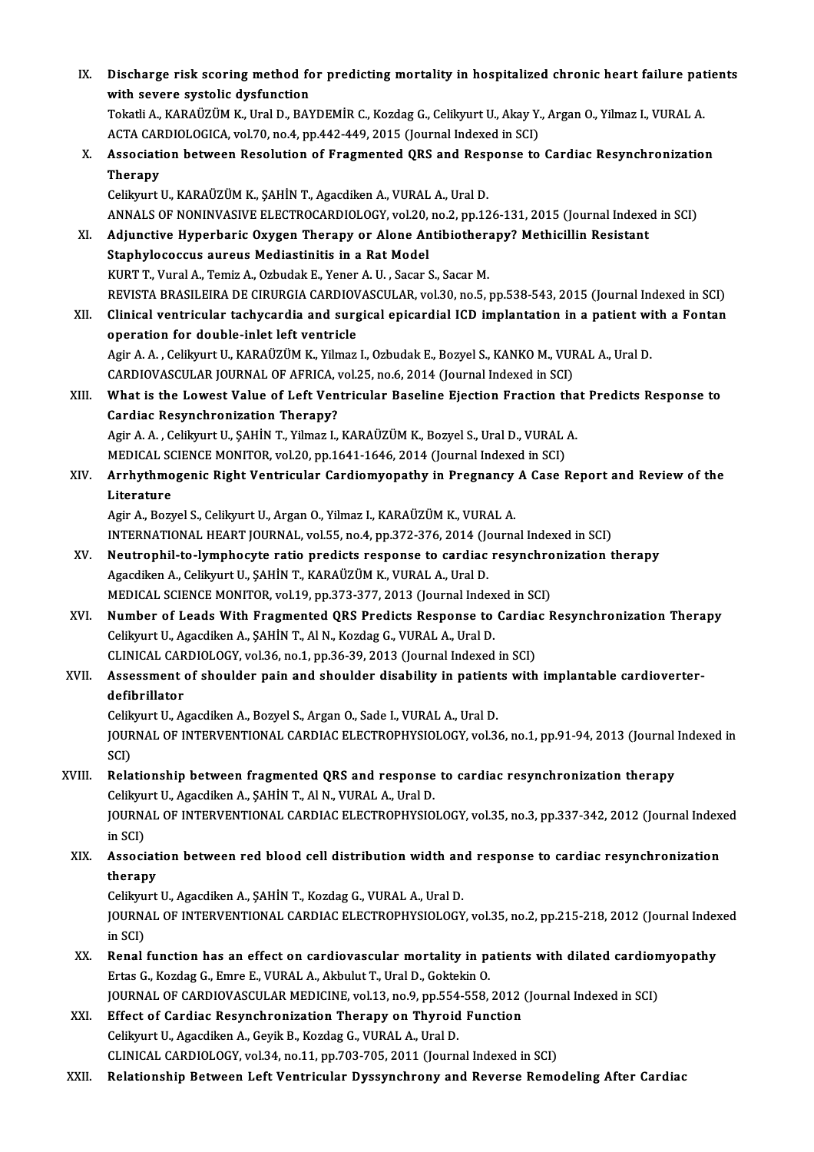| IX.    | Discharge risk scoring method for predicting mortality in hospitalized chronic heart failure patients<br>with severe systolic dysfunction                                                    |
|--------|----------------------------------------------------------------------------------------------------------------------------------------------------------------------------------------------|
|        | Tokatli A., KARAÜZÜM K., Ural D., BAYDEMİR C., Kozdag G., Celikyurt U., Akay Y., Argan O., Yilmaz I., VURAL A.<br>ACTA CARDIOLOGICA, vol.70, no.4, pp.442-449, 2015 (Journal Indexed in SCI) |
| X.     | Association between Resolution of Fragmented QRS and Response to Cardiac Resynchronization                                                                                                   |
|        | <b>Therapy</b><br>Celikyurt U., KARAÜZÜM K., ŞAHİN T., Agacdiken A., VURAL A., Ural D.                                                                                                       |
|        | ANNALS OF NONINVASIVE ELECTROCARDIOLOGY, vol.20, no.2, pp.126-131, 2015 (Journal Indexed in SCI)                                                                                             |
| XI.    | Adjunctive Hyperbaric Oxygen Therapy or Alone Antibiotherapy? Methicillin Resistant<br>Staphylococcus aureus Mediastinitis in a Rat Model                                                    |
|        | KURT T., Vural A., Temiz A., Ozbudak E., Yener A. U., Sacar S., Sacar M.                                                                                                                     |
|        | REVISTA BRASILEIRA DE CIRURGIA CARDIOVASCULAR, vol.30, no.5, pp.538-543, 2015 (Journal Indexed in SCI)                                                                                       |
| XII.   | Clinical ventricular tachycardia and surgical epicardial ICD implantation in a patient with a Fontan                                                                                         |
|        | operation for double-inlet left ventricle                                                                                                                                                    |
|        | Agir A. A., Celikyurt U., KARAÜZÜM K., Yilmaz I., Ozbudak E., Bozyel S., KANKO M., VURAL A., Ural D.                                                                                         |
|        | CARDIOVASCULAR JOURNAL OF AFRICA, vol.25, no.6, 2014 (Journal Indexed in SCI)                                                                                                                |
| XIII.  | What is the Lowest Value of Left Ventricular Baseline Ejection Fraction that Predicts Response to<br><b>Cardiac Resynchronization Therapy?</b>                                               |
|        | Agir A. A., Celikyurt U., ŞAHİN T., Yilmaz I., KARAÜZÜM K., Bozyel S., Ural D., VURAL A.                                                                                                     |
|        | MEDICAL SCIENCE MONITOR, vol.20, pp.1641-1646, 2014 (Journal Indexed in SCI)                                                                                                                 |
| XIV.   | Arrhythmogenic Right Ventricular Cardiomyopathy in Pregnancy A Case Report and Review of the                                                                                                 |
|        | Literature                                                                                                                                                                                   |
|        | Agir A., Bozyel S., Celikyurt U., Argan O., Yilmaz I., KARAÜZÜM K., VURAL A.                                                                                                                 |
|        | INTERNATIONAL HEART JOURNAL, vol.55, no.4, pp.372-376, 2014 (Journal Indexed in SCI)                                                                                                         |
| XV.    | Neutrophil-to-lymphocyte ratio predicts response to cardiac resynchronization therapy                                                                                                        |
|        | Agacdiken A., Celikyurt U., ŞAHİN T., KARAÜZÜM K., VURAL A., Ural D.                                                                                                                         |
|        | MEDICAL SCIENCE MONITOR, vol.19, pp.373-377, 2013 (Journal Indexed in SCI)                                                                                                                   |
| XVI.   | Number of Leads With Fragmented QRS Predicts Response to Cardiac Resynchronization Therapy                                                                                                   |
|        | Celikyurt U., Agacdiken A., ŞAHİN T., Al N., Kozdag G., VURAL A., Ural D.<br>CLINICAL CARDIOLOGY, vol.36, no.1, pp.36-39, 2013 (Journal Indexed in SCI)                                      |
| XVII.  | Assessment of shoulder pain and shoulder disability in patients with implantable cardioverter-                                                                                               |
|        | defibrillator                                                                                                                                                                                |
|        | Celikyurt U., Agacdiken A., Bozyel S., Argan O., Sade I., VURAL A., Ural D.                                                                                                                  |
|        | JOURNAL OF INTERVENTIONAL CARDIAC ELECTROPHYSIOLOGY, vol.36, no.1, pp.91-94, 2013 (Journal Indexed in<br>SCI)                                                                                |
| XVIII. | Relationship between fragmented QRS and response to cardiac resynchronization therapy<br>Celikyurt U., Agacdiken A., ŞAHİN T., Al N., VURAL A., Ural D.                                      |
|        | JOURNAL OF INTERVENTIONAL CARDIAC ELECTROPHYSIOLOGY, vol.35, no.3, pp.337-342, 2012 (Journal Indexed<br>in SCI)                                                                              |
| XIX.   | Association between red blood cell distribution width and response to cardiac resynchronization<br>therapy                                                                                   |
|        | Celikyurt U., Agacdiken A., ŞAHİN T., Kozdag G., VURAL A., Ural D.                                                                                                                           |
|        | JOURNAL OF INTERVENTIONAL CARDIAC ELECTROPHYSIOLOGY, vol.35, no.2, pp.215-218, 2012 (Journal Indexed<br>in SCI)                                                                              |
| XX.    | Renal function has an effect on cardiovascular mortality in patients with dilated cardiomyopathy                                                                                             |
|        | Ertas G., Kozdag G., Emre E., VURAL A., Akbulut T., Ural D., Goktekin O.                                                                                                                     |
|        | JOURNAL OF CARDIOVASCULAR MEDICINE, vol.13, no.9, pp.554-558, 2012 (Journal Indexed in SCI)                                                                                                  |
| XXI.   | Effect of Cardiac Resynchronization Therapy on Thyroid Function                                                                                                                              |
|        | Celikyurt U., Agacdiken A., Geyik B., Kozdag G., VURAL A., Ural D.                                                                                                                           |
|        | CLINICAL CARDIOLOGY, vol.34, no.11, pp.703-705, 2011 (Journal Indexed in SCI)                                                                                                                |
| XXII.  | Relationship Between Left Ventricular Dyssynchrony and Reverse Remodeling After Cardiac                                                                                                      |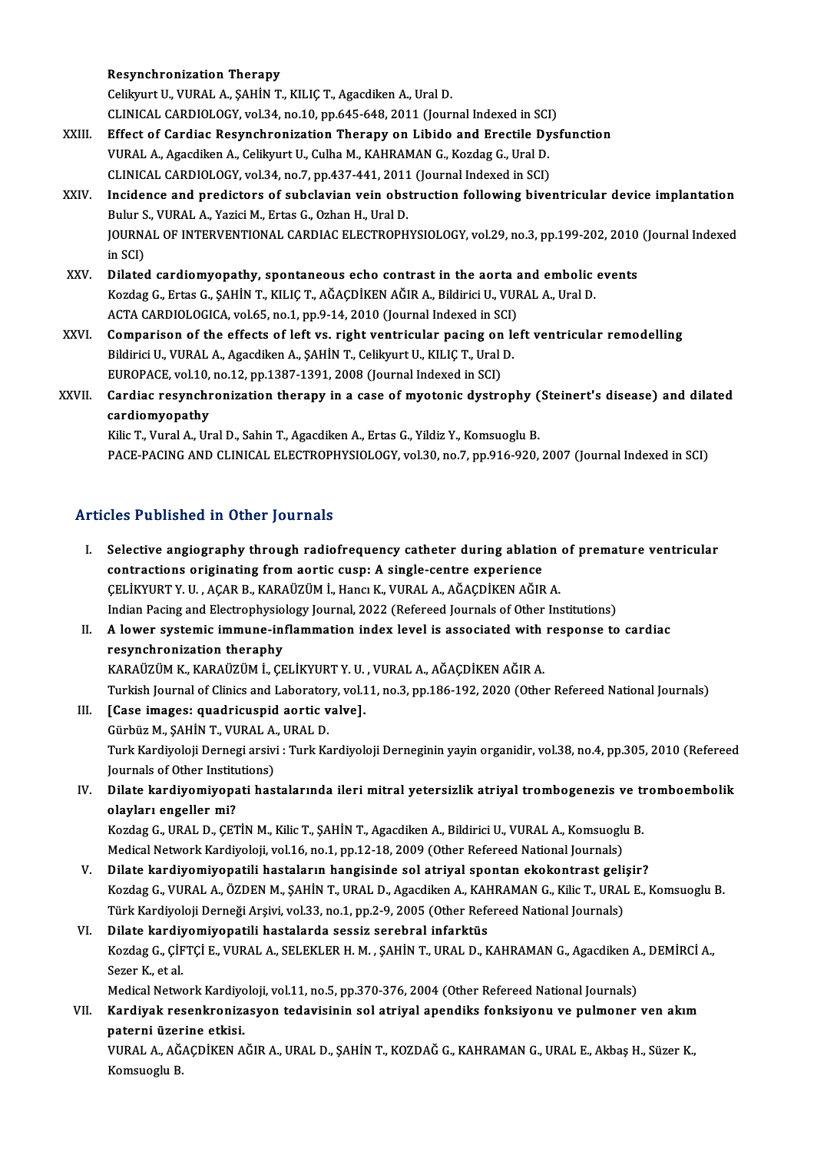#### Resynchronization Therapy

Celikyurt U., VURAL A., ŞAHİN T., KILIÇ T., Agacdiken A., Ural D.

- Resynchronization Therapy<br>Celikyurt U., VURAL A., ŞAHİN T., KILIÇ T., Agacdiken A., Ural D.<br>CLINICAL CARDIOLOGY, vol.34, no.10, pp.645-648, 2011 (Journal Indexed in SCI)<br>Effect of Cardiae Besynchronization Thereny, on Libi
- Celikyurt U., VURAL A., ŞAHİN T., KILIÇ T., Agacdiken A., Ural D.<br>CLINICAL CARDIOLOGY, vol.34, no.10, pp.645-648, 2011 (Journal Indexed in SCI)<br>XXIII. Effect of Cardiac Resynchronization Therapy on Libido and Erectile Dysf CLINICAL CARDIOLOGY, vol.34, no.10, pp.645-648, 2011 (Journal Indexed in SCI<br>Effect of Cardiac Resynchronization Therapy on Libido and Erectile Dy<br>VURAL A., Agacdiken A., Celikyurt U., Culha M., KAHRAMAN G., Kozdag G., Ura Effect of Cardiac Resynchronization Therapy on Libido and Erectile Dy<br>VURAL A., Agacdiken A., Celikyurt U., Culha M., KAHRAMAN G., Kozdag G., Ural D.<br>CLINICAL CARDIOLOGY, vol.34, no.7, pp.437-441, 2011 (Journal Indexed in VURAL A., Agacdiken A., Celikyurt U., Culha M., KAHRAMAN G., Kozdag G., Ural D.<br>CLINICAL CARDIOLOGY, vol.34, no.7, pp.437-441, 2011 (Journal Indexed in SCI)<br>XXIV. Incidence and predictors of subclavian vein obstruction fol
- CLINICAL CARDIOLOGY, vol.34, no.7, pp.437-441, 2011<br>Incidence and predictors of subclavian vein obs<br>Bulur S., VURAL A., Yazici M., Ertas G., Ozhan H., Ural D.<br>JOUPNAL OF INTERVENTIONAL CARDIAC ELECTROPH Incidence and predictors of subclavian vein obstruction following biventricular device implantation<br>Bulur S., VURAL A., Yazici M., Ertas G., Ozhan H., Ural D.<br>JOURNAL OF INTERVENTIONAL CARDIAC ELECTROPHYSIOLOGY, vol.29, no Bulur S<br>JOURNA<br>in SCI)<br>Dilates JOURNAL OF INTERVENTIONAL CARDIAC ELECTROPHYSIOLOGY, vol.29, no.3, pp.199-202, 2010<br>in SCI)<br>XXV. Dilated cardiomyopathy, spontaneous echo contrast in the aorta and embolic events<br>Kerder C. Extre C. SAHIN T. KU IC T. AČACDI
- in SCI)<br>Dilated cardiomyopathy, spontaneous echo contrast in the aorta and embolic<br>Kozdag G., Ertas G., ŞAHİN T., KILIÇ T., AĞAÇDİKEN AĞIR A., Bildirici U., VURAL A., Ural D.<br>ACTA CARDIQLOGICA. Yol 55, no.1, np.9,14, 2010 Dilated cardiomyopathy, spontaneous echo contrast in the aorta and correct in the aorta and correct the SCI)<br>Kozdag G., Ertas G., ȘAHİN T., KILIÇ T., AĞAÇDİKEN AĞIR A., Bildirici U., VUF<br>ACTA CARDIOLOGICA, vol.65, no.1, pp Kozdag G., Ertas G., ŞAHİN T., KILIÇ T., AĞAÇDİKEN AĞIR A., Bildirici U., VURAL A., Ural D.<br>ACTA CARDIOLOGICA, vol.65, no.1, pp.9-14, 2010 (Journal Indexed in SCI)<br>XXVI. Comparison of the effects of left vs. right ventricu
- ACTA CARDIOLOGICA, vol.65, no.1, pp.9-14, 2010 (Journal Indexed in SCI)<br>Comparison of the effects of left vs. right ventricular pacing on le<br>Bildirici U., VURAL A., Agacdiken A., ŞAHİN T., Celikyurt U., KILIÇ T., Ural D.<br>E Comparison of the effects of left vs. right ventricular pacing on<br>Bildirici U., VURAL A., Agacdiken A., ŞAHİN T., Celikyurt U., KILIÇ T., Ural<br>EUROPACE, vol.10, no.12, pp.1387-1391, 2008 (Journal Indexed in SCI)<br>Cardina na EUROPACE, vol.10, no.12, pp.1387-1391, 2008 (Journal Indexed in SCI)
- Bildirici U., VURAL A., Agacdiken A., ŞAHİN T., Celikyurt U., KILIÇ T., Ural D.<br>EUROPACE, vol.10, no.12, pp.1387-1391, 2008 (Journal Indexed in SCI)<br>XXVII. Cardiac resynchronization therapy in a case of myotonic dystro

Kilic T., Vural A., Ural D., Sahin T., Agacdiken A., Ertas G., Yildiz Y., Komsuoglu B. PACE-PACING AND CLINICAL ELECTROPHYSIOLOGY, vol.30, no.7, pp.916-920, 2007 (Journal Indexed in SCI)

### Articles Published in Other Journals

rticles Published in Other Journals<br>I. Selective angiography through radiofrequency catheter during ablation of premature ventricular<br>contractions originating from aortic susp: A single sentre experience Selective angiography through radiofrequency catheter during ablations.<br>Contractions originating from aortic cusp: A single-centre experience<br>CELIKVURT V.U. ACAR R. KARAÜZÜM İ. HORG K. VURAL A AČACDİKEN AČIR Selective angiography through radiofrequency catheter during ablation<br>contractions originating from aortic cusp: A single-centre experience<br>CELİKYURT Y. U. , AÇAR B., KARAÜZÜM İ., Hancı K., VURAL A., AĞAÇDİKEN AĞIR A.<br>Indi contractions originating from aortic cusp: A single-centre experience<br>CELİKYURT Y. U. , AÇAR B., KARAÜZÜM İ., Hancı K., VURAL A., AĞAÇDİKEN AĞIR A.<br>Indian Pacing and Electrophysiology Journal, 2022 (Refereed Journals of Ot Indian Pacing and Electrophysiology Journal, 2022 (Refereed Journals of Other Institutions)<br>II. A lower systemic immune-inflammation index level is associated with response to cardiac resynchronization theraphy KARAÜZÜM K., KARAÜZÜM İ., ÇELİKYURTY. U., VURAL A., AĞAÇDİKEN AĞIR A. Turkish Journal of Clinics and Laboratory, vol.11, no.3, pp.186-192, 2020 (Other Refereed National Journals) III. [Case images: quadricuspid aortic valve]. GürbüzM.,ŞAHİNT.,VURALA.,URALD. [Case images: quadricuspid aortic valve].<br>Gürbüz M., ŞAHİN T., VURAL A., URAL D.<br>Turk Kardiyoloji Dernegi arsivi : Turk Kardiyoloji Derneginin yayin organidir, vol.38, no.4, pp.305, 2010 (Refereed Gürbüz M., ŞAHİN T., VURAL A.<br>Turk Kardiyoloji Dernegi arsivi<br>Journals of Other Institutions)<br>Dilate kardiyomiyonati baş Turk Kardiyoloji Dernegi arsivi : Turk Kardiyoloji Derneginin yayin organidir, vol.38, no.4, pp.305, 2010 (Refereed<br>Journals of Other Institutions)<br>IV. Dilate kardiyomiyopati hastalarında ileri mitral yetersizlik atriy Journals of Other Institutions)<br>IV. Dilate kardiyomiyopati hastalarında ileri mitral yetersizlik atriyal trombogenezis ve tromboembolik<br>olayları engeller mi? Dilate kardiyomiyopati hastalarında ileri mitral yetersizlik atriyal trombogenezis ve tı<br>olayları engeller mi?<br>Kozdag G., URAL D., ÇETİN M., Kilic T., ŞAHİN T., Agacdiken A., Bildirici U., VURAL A., Komsuoglu B.<br>Medisəl Ne olayları engeller mi?<br>Kozdag G., URAL D., ÇETİN M., Kilic T., ŞAHİN T., Agacdiken A., Bildirici U., VURAL A., Komsuoglı<br>Medical Network Kardiyoloji, vol.16, no.1, pp.12-18, 2009 (Other Refereed National Journals)<br>Dilate ka Kozdag G., URAL D., ÇETİN M., Kilic T., ŞAHİN T., Agacdiken A., Bildirici U., VURAL A., Komsuoglu B.<br>Medical Network Kardiyoloji, vol.16, no.1, pp.12-18, 2009 (Other Refereed National Journals)<br>V. Dilate kardiyomiyopatili Medical Network Kardiyoloji, vol.16, no.1, pp.12-18, 2009 (Other Refereed National Journals)<br>Dilate kardiyomiyopatili hastaların hangisinde sol atriyal spontan ekokontrast gelişir?<br>Kozdag G., VURAL A., ÖZDEN M., ŞAHİN T., V. Dilate kardiyomiyopatili hastaların hangisinde sol atriyal spontan ekokontrast gelişir? VI. Dilate kardiyomiyopatili hastalarda sessiz serebral infarktüs Türk Kardiyoloji Derneği Arşivi, vol.33, no.1, pp.2-9, 2005 (Other Refereed National Journals)<br>Dilate <mark>kardiyomiyopatili hastalarda sessiz serebral infarktüs</mark><br>Kozdag G., ÇİFTÇİ E., VURAL A., SELEKLER H. M. , ŞAHİN T., URAL Di<mark>late kardiy</mark><br>Kozdag G., ÇİF<br>Sezer K., et al.<br>Medisal Netur Kozdag G., ÇİFTÇİ E., VURAL A., SELEKLER H. M. , ŞAHİN T., URAL D., KAHRAMAN G., Agacdiken A<br>Sezer K., et al.<br>Medical Network Kardiyoloji, vol.11, no.5, pp.370-376, 2004 (Other Refereed National Journals)<br>Kardiyak resenkra Sezer K., et al.<br>Medical Network Kardiyoloji, vol.11, no.5, pp.370-376, 2004 (Other Refereed National Journals)<br>VII. Kardiyak resenkronizasyon tedavisinin sol atriyal apendiks fonksiyonu ve pulmoner ven akım<br>paterni üz Medical Network Kardiyoloji, vol.11, no.5, pp.370-376, 2004 (Other Refereed National Journals) Kardiyak resenkronizasyon tedavisinin sol atriyal apendiks fonksiyonu ve pulmoner ven akım<br>paterni üzerine etkisi.<br>VURAL A., AĞAÇDİKEN AĞIR A., URAL D., ŞAHİN T., KOZDAĞ G., KAHRAMAN G., URAL E., Akbaş H., Süzer K.,<br>Komeye <mark>paterni üzer</mark><br>VURAL A., AĞ.<br>Komsuoglu B.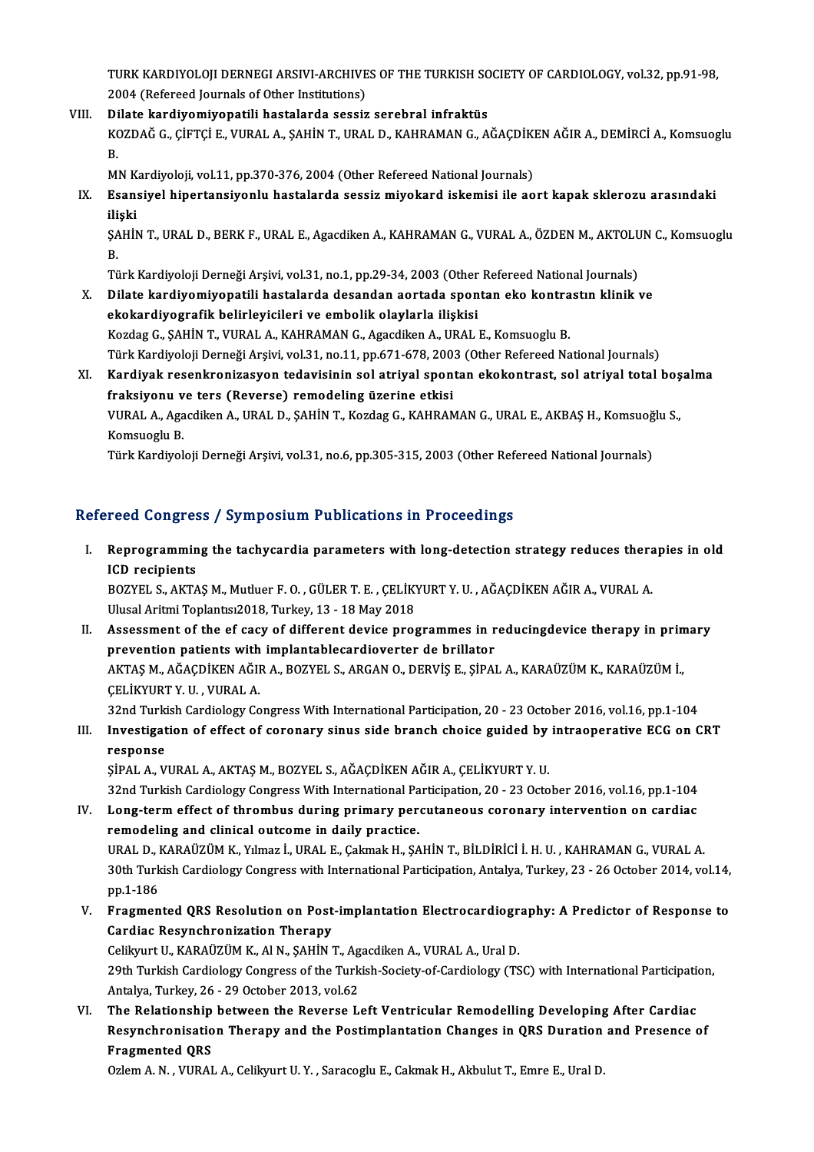TURK KARDIYOLOJI DERNEGI ARSIVI-ARCHIVES OF THE TURKISH SOCIETY OF CARDIOLOGY, vol.32, pp.91-98,<br>2004 (Pefered Jaurrals of Other Institutions) TURK KARDIYOLOJI DERNEGI ARSIVI-ARCHIVE<br>2004 (Refereed Journals of Other Institutions)<br>Dilate kandivemiyanatili bastalanda sessin TURK KARDIYOLOJI DERNEGI ARSIVI-ARCHIVES OF THE TURKISH SC<br>2004 (Refereed Journals of Other Institutions)<br>VIII. Dilate kardiyomiyopatili hastalarda sessiz serebral infraktüs<br>2007 DAČ C CIETCI E VURAL A SAHIN T URAL D KAHRA

2004 (Refereed Journals of Other Institutions)<br>Dilate kar<mark>diyomiyopatili hastalarda sessiz serebral infraktüs</mark><br>KOZDAĞ G., ÇİFTÇİ E., VURAL A., ŞAHİN T., URAL D., KAHRAMAN G., AĞAÇDİKEN AĞIR A., DEMİRCİ A., Komsuoglu<br>P Di<br>K<br>B.<br>M KOZDAĞ G., ÇİFTÇİ E., VURAL A., ŞAHİN T., URAL D., KAHRAMAN G., AĞAÇDİKI<br>B.<br>MN Kardiyoloji, vol.11, pp.370-376, 2004 (Other Refereed National Journals)<br>Esansiyal binattansiyanlu bastalarda sessir miyolard iskamisi ilə aq

B.<br>MN Kardiyoloji, vol.11, pp.370-376, 2004 (Other Refereed National Journals)<br>IX. Esansiyel hipertansiyonlu hastalarda sessiz miyokard iskemisi ile aort kapak sklerozu arasındaki<br>iliski MN K<br><mark>Esan:</mark><br>ilişki<br>sauit Esansiyel hipertansiyonlu hastalarda sessiz miyokard iskemisi ile aort kapak sklerozu arasındaki<br>ilişki<br>ŞAHİN T., URAL D., BERK F., URAL E., Agacdiken A., KAHRAMAN G., VURAL A., ÖZDEN M., AKTOLUN C., Komsuoglu<br>P

ili<br>ŞA<br>Tü ŞAHİN T., URAL D., BERK F., URAL E., Agacdiken A., KAHRAMAN G., VURAL A., ÖZDEN M., AKTOLU<br>B.<br>Türk Kardiyoloji Derneği Arşivi, vol.31, no.1, pp.29-34, 2003 (Other Refereed National Journals)<br>Dilate kardiyomiyanatili bastal

B.<br>Türk Kardiyoloji Derneği Arşivi, vol.31, no.1, pp.29-34, 2003 (Other Refereed National Journals)<br>X. Dilate kardiyomiyopatili hastalarda desandan aortada spontan eko kontrastın klinik ve

ekokardiyografik belirleyicileri ve embolik olaylarla ilişkisi Kozdag G., ŞAHİN T., VURAL A., KAHRAMAN G., Agacdiken A., URAL E., Komsuoglu B. ekokardiyografik belirleyicileri ve embolik olaylarla ilişkisi<br>Kozdag G., ŞAHİN T., VURAL A., KAHRAMAN G., Agacdiken A., URAL E., Komsuoglu B.<br>Türk Kardiyoloji Derneği Arşivi, vol.31, no.11, pp.671-678, 2003 (Other Referee

XI. Kardiyak resenkronizasyon tedavisinin sol atriyal spontan ekokontrast, sol atriyal total boşalma Türk Kardiyoloji Derneği Arşivi, vol.31, no.11, pp.671-678, 200<br>Kardiyak resenkronizasyon tedavisinin sol atriyal spon<br>fraksiyonu ve ters (Reverse) remodeling üzerine etkisi<br>VURAL A Assedikan A URAL D. SAHİN T. Kardas C. K Kardiyak resenkronizasyon tedavisinin sol atriyal spontan ekokontrast, sol atriyal total boş<br>fraksiyonu ve ters (Reverse) remodeling üzerine etkisi<br>VURAL A., Agacdiken A., URAL D., ŞAHİN T., Kozdag G., KAHRAMAN G., URAL E.

f<mark>raksiyonu v</mark><br>VURAL A., Aga<br>Komsuoglu B.<br><sup>Türlz Kondivol</sup> VURAL A., Agacdiken A., URAL D., ŞAHİN T., Kozdag G., KAHRAMAN G., URAL E., AKBAŞ H., Komsuoğ<br>Komsuoglu B.<br>Türk Kardiyoloji Derneği Arşivi, vol.31, no.6, pp.305-315, 2003 (Other Refereed National Journals)

Türk Kardiyoloji Derneği Arşivi, vol.31, no.6, pp.305-315, 2003 (Other Refereed National Journals)<br>Refereed Congress / Symposium Publications in Proceedings

efereed Congress / Symposium Publications in Proceedings<br>I. Reprogramming the tachycardia parameters with long-detection strategy reduces therapies in old<br>ICD regipients ICCU COMBICS<br>Reprogrammin<br>ICD recipients<br>POZVEL S AKTA Reprogramming the tachycardia parameters with long-detection strategy reduces thera<br>ICD recipients<br>BOZYEL S., AKTAŞ M., Mutluer F. O. , GÜLER T. E. , ÇELİKYURT Y. U. , AĞAÇDİKEN AĞIR A., VURAL A.<br>Ulucel Aritmi Tenlanter201

ICD recipients<br>BOZYEL S., AKTAŞ M., Mutluer F. O. , GÜLER T. E. , ÇELİK'<br>Ulusal Aritmi Toplantısı2018, Turkey, 13 - 18 May 2018<br>Assessment of the of sasu of different devise pres

Ulusal Aritmi Toplantisi 2018, Turkey, 13 - 18 May 2018<br>II. Assessment of the ef cacy of different device programmes in reducing device therapy in primary Ulusal Aritmi Toplantısı2018, Turkey, 13 - 18 May 2018<br>Assessment of the ef cacy of different device programmes in r<br>prevention patients with implantablecardioverter de brillator<br>AKTAS M. AČACDİKEN AČIR A. POZVEL S. ARCAN Assessment of the ef cacy of different device programmes in reducingdevice therapy in prim<br>prevention patients with implantablecardioverter de brillator<br>AKTAŞ M., AĞAÇDİKEN AĞIR A., BOZYEL S., ARGAN O., DERVİŞ E., ŞİPAL A. prevention patients with<br>AKTAŞ M., AĞAÇDİKEN AĞII<br>ÇELİKYURT Y. U. , VURAL A.<br>22nd Turkish Cardialagu Ca AKTAŞ M., AĞAÇDİKEN AĞIR A., BOZYEL S., ARGAN O., DERVİŞ E., ŞİPAL A., KARAÜZÜM K., KARAÜZÜM İ.,<br>ÇELİKYURT Y. U. , VURAL A.<br>32nd Turkish Cardiology Congress With International Participation, 20 - 23 October 2016, vol.16, p 32nd Turkish Cardiology Congress With International Participation, 20 - 23 October 2016, vol.16, pp.1-104

# CELIKYURT Y. U. , VURAL A.<br>32nd Turkish Cardiology Congress With International Participation, 20 - 23 October 2016, vol.16, pp.1-104<br>III. Investigation of effect of coronary sinus side branch choice guided by intraoperativ

ŞİPAL A., VURAL A., AKTAŞ M., BOZYEL S., AĞAÇDİKEN AĞIR A., ÇELİKYURT Y. U.

32nd Turkish Cardiology Congress With International Participation, 20 - 23 October 2016, vol.16, pp.1-104

- IV. Long-termeffect of thrombus during primary percutaneous coronary intervention on cardiac remodeling and clinical outcome in daily practice. Long-term effect of thrombus during primary percutaneous coronary intervention on cardiac<br>remodeling and clinical outcome in daily practice.<br>URAL D., KARAÜZÜM K., Yılmaz İ., URAL E., Çakmak H., ŞAHİN T., BİLDİRİCİ İ. H. U. remodeling and clinical outcome in daily practice.<br>URAL D., KARAÜZÜM K., Yılmaz İ., URAL E., Çakmak H., ŞAHİN T., BİLDİRİCİ İ. H. U. , KAHRAMAN G., VURAL A.<br>30th Turkish Cardiology Congress with International Participation URAL D., I<br>30th Turk<br>pp.1-186<br>Eragman 30th Turkish Cardiology Congress with International Participation, Antalya, Turkey, 23 - 26 October 2014, vol.14, pp.1-186<br>V. Fragmented QRS Resolution on Post-implantation Electrocardiography: A Predictor of Response to<br>C
- pp.1-186<br>Fragmented QRS Resolution on Post<br>Cardiac Resynchronization Therapy<br>Celilunut U. KARAÜZÜM K. ALN. SAHIN. Fragmented QRS Resolution on Post-implantation Electrocardiogr<br>Cardiac Resynchronization Therapy<br>Celikyurt U., KARAÜZÜM K., Al N., ŞAHİN T., Agacdiken A., VURAL A., Ural D.<br>20th Turkish Cardialogy Congress of the Turkish S

Cardiac Resynchronization Therapy<br>Celikyurt U., KARAÜZÜM K., Al N., ŞAHİN T., Agacdiken A., VURAL A., Ural D.<br>29th Turkish Cardiology Congress of the Turkish-Society-of-Cardiology (TSC) with International Participation,<br>An Celikyurt U., KARAÜZÜM K., Al N., ŞAHİN T., Agacdiken A., VURAL A., Ural D. 29th Turkish Cardiology Congress of the Turkish-Society-of-Cardiology (TSC) with International Participation<br>Antalya, Turkey, 26 - 29 October 2013, vol.62<br>VI. The Relationship between the Reverse Left Ventricular Remodelli

Antalya, Turkey, 26 - 29 October 2013, vol.62<br>The Relationship between the Reverse Left Ventricular Remodelling Developing After Cardiac<br>Resynchronisation Therapy and the Postimplantation Changes in QRS Duration and Presen The Relationship<br>Resynchronisatio<br>Fragmented QRS<br>Orlem A N - VUPAJ Resynchronisation Therapy and the Postimplantation Changes in QRS Duration<br>Fragmented QRS<br>Ozlem A. N. , VURAL A., Celikyurt U. Y. , Saracoglu E., Cakmak H., Akbulut T., Emre E., Ural D.